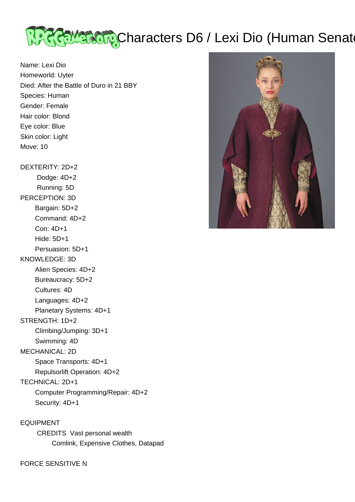

Name: Lexi Dio Homeworld: Uyter Died: After the Battle of Duro in 21 BBY Species: Human Gender: Female Hair color: Blond Eye color: Blue Skin color: Light Move: 10 DEXTERITY: 2D+2 Dodge: 4D+2 Running: 5D PERCEPTION: 3D Bargain: 5D+2 Command: 4D+2 Con: 4D+1 Hide: 5D+1 Persuasion: 5D+1

## KNOWLEDGE: 3D

Alien Species: 4D+2

Bureaucracy: 5D+2

Cultures: 4D

Languages: 4D+2

Planetary Systems: 4D+1

## STRENGTH: 1D+2

Climbing/Jumping: 3D+1

Swimming: 4D

MECHANICAL: 2D

Space Transports: 4D+1

 Repulsorlift Operation: 4D+2 TECHNICAL: 2D+1

Computer Programming/Repair: 4D+2

Security: 4D+1

EQUIPMENT CREDITS Vast personal wealth Comlink, Expensive Clothes, Datapad